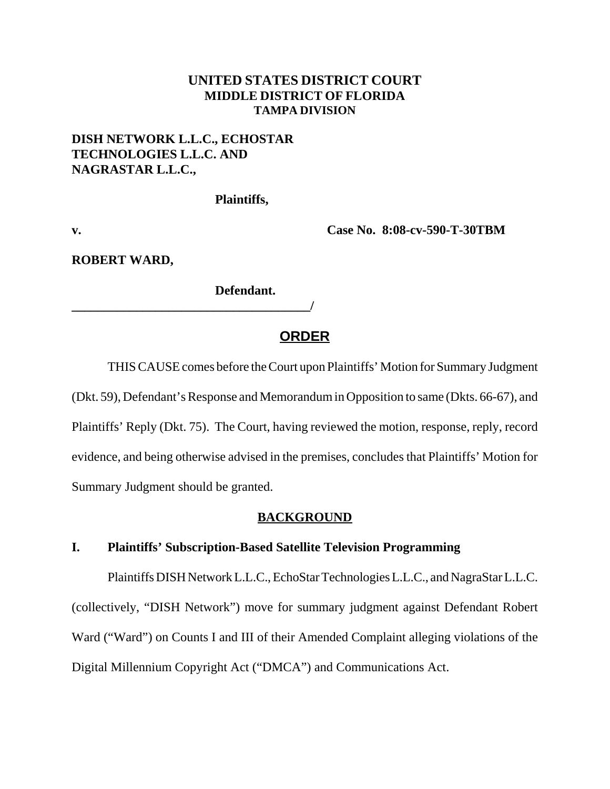### **UNITED STATES DISTRICT COURT MIDDLE DISTRICT OF FLORIDA TAMPA DIVISION**

## **DISH NETWORK L.L.C., ECHOSTAR TECHNOLOGIES L.L.C. AND NAGRASTAR L.L.C.,**

**\_\_\_\_\_\_\_\_\_\_\_\_\_\_\_\_\_\_\_\_\_\_\_\_\_\_\_\_\_\_\_\_\_\_\_\_\_/** 

**Plaintiffs,**

**v. Case No. 8:08-cv-590-T-30TBM** 

**ROBERT WARD,**

**Defendant.**

# **ORDER**

THIS CAUSE comes before the Court upon Plaintiffs' Motion for Summary Judgment (Dkt. 59), Defendant's Response and Memorandum in Opposition to same (Dkts. 66-67), and Plaintiffs' Reply (Dkt. 75). The Court, having reviewed the motion, response, reply, record evidence, and being otherwise advised in the premises, concludes that Plaintiffs' Motion for Summary Judgment should be granted.

### **BACKGROUND**

### **I. Plaintiffs' Subscription-Based Satellite Television Programming**

Plaintiffs DISH Network L.L.C., EchoStar Technologies L.L.C., and NagraStar L.L.C. (collectively, "DISH Network") move for summary judgment against Defendant Robert Ward ("Ward") on Counts I and III of their Amended Complaint alleging violations of the Digital Millennium Copyright Act ("DMCA") and Communications Act.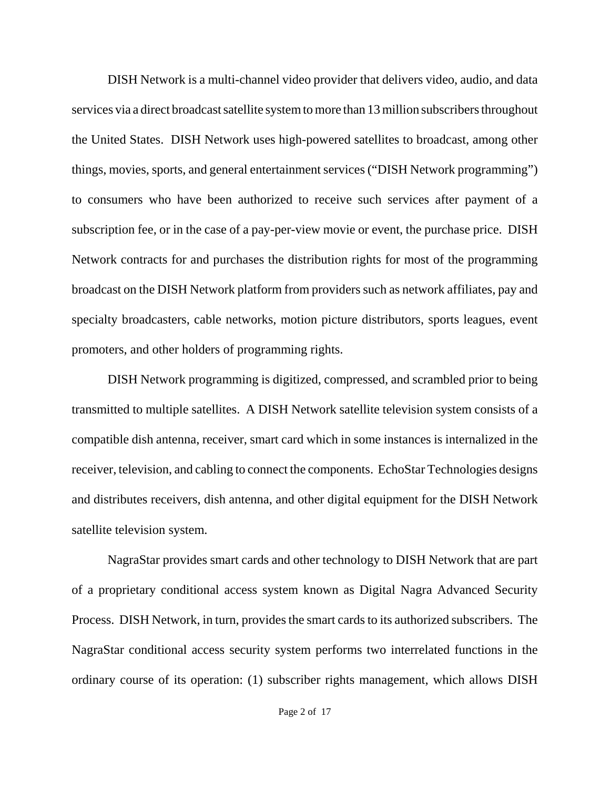DISH Network is a multi-channel video provider that delivers video, audio, and data services via a direct broadcast satellite system to more than 13 million subscribers throughout the United States. DISH Network uses high-powered satellites to broadcast, among other things, movies, sports, and general entertainment services ("DISH Network programming") to consumers who have been authorized to receive such services after payment of a subscription fee, or in the case of a pay-per-view movie or event, the purchase price. DISH Network contracts for and purchases the distribution rights for most of the programming broadcast on the DISH Network platform from providers such as network affiliates, pay and specialty broadcasters, cable networks, motion picture distributors, sports leagues, event promoters, and other holders of programming rights.

DISH Network programming is digitized, compressed, and scrambled prior to being transmitted to multiple satellites. A DISH Network satellite television system consists of a compatible dish antenna, receiver, smart card which in some instances is internalized in the receiver, television, and cabling to connect the components. EchoStar Technologies designs and distributes receivers, dish antenna, and other digital equipment for the DISH Network satellite television system.

NagraStar provides smart cards and other technology to DISH Network that are part of a proprietary conditional access system known as Digital Nagra Advanced Security Process. DISH Network, in turn, provides the smart cards to its authorized subscribers. The NagraStar conditional access security system performs two interrelated functions in the ordinary course of its operation: (1) subscriber rights management, which allows DISH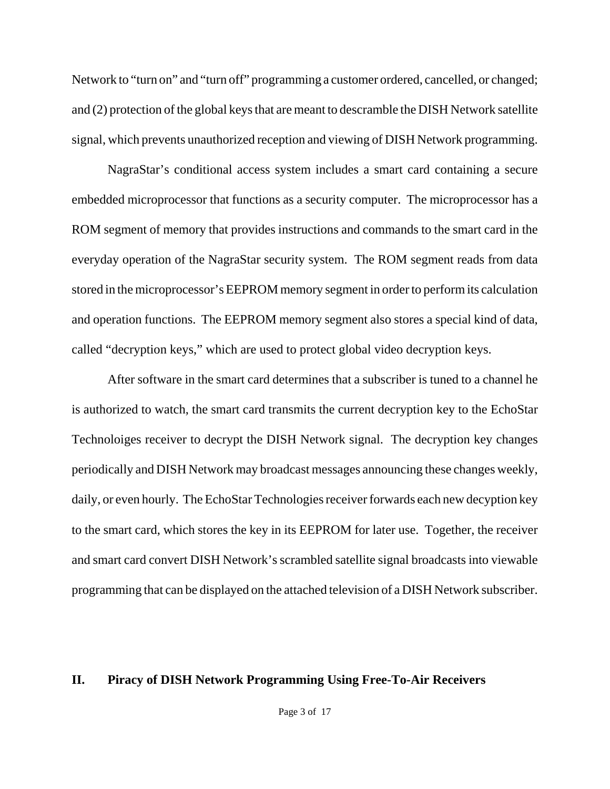Network to "turn on" and "turn off" programming a customer ordered, cancelled, or changed; and (2) protection of the global keys that are meant to descramble the DISH Network satellite signal, which prevents unauthorized reception and viewing of DISH Network programming.

NagraStar's conditional access system includes a smart card containing a secure embedded microprocessor that functions as a security computer. The microprocessor has a ROM segment of memory that provides instructions and commands to the smart card in the everyday operation of the NagraStar security system. The ROM segment reads from data stored in the microprocessor's EEPROM memory segment in order to perform its calculation and operation functions. The EEPROM memory segment also stores a special kind of data, called "decryption keys," which are used to protect global video decryption keys.

After software in the smart card determines that a subscriber is tuned to a channel he is authorized to watch, the smart card transmits the current decryption key to the EchoStar Technoloiges receiver to decrypt the DISH Network signal. The decryption key changes periodically and DISH Network may broadcast messages announcing these changes weekly, daily, or even hourly. The EchoStar Technologies receiver forwards each new decyption key to the smart card, which stores the key in its EEPROM for later use. Together, the receiver and smart card convert DISH Network's scrambled satellite signal broadcasts into viewable programming that can be displayed on the attached television of a DISH Network subscriber.

### **II. Piracy of DISH Network Programming Using Free-To-Air Receivers**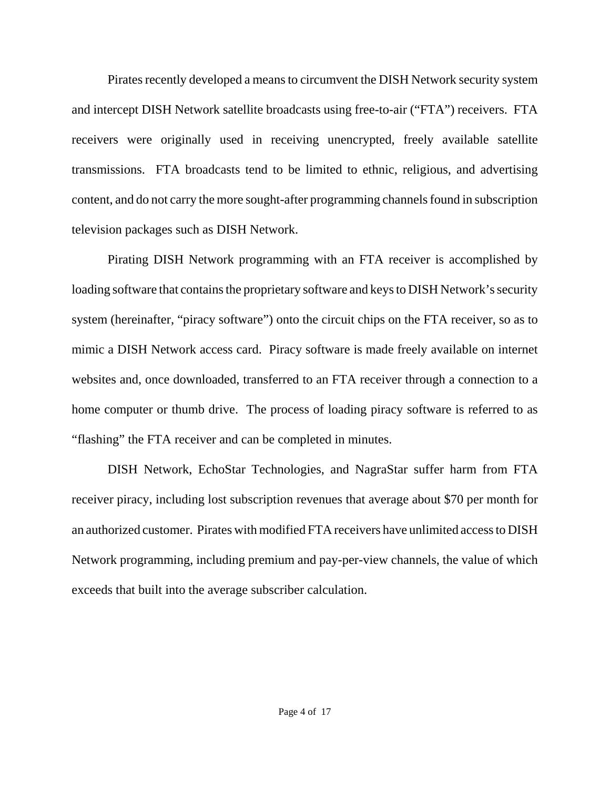Pirates recently developed a means to circumvent the DISH Network security system and intercept DISH Network satellite broadcasts using free-to-air ("FTA") receivers. FTA receivers were originally used in receiving unencrypted, freely available satellite transmissions. FTA broadcasts tend to be limited to ethnic, religious, and advertising content, and do not carry the more sought-after programming channels found in subscription television packages such as DISH Network.

Pirating DISH Network programming with an FTA receiver is accomplished by loading software that contains the proprietary software and keys to DISH Network's security system (hereinafter, "piracy software") onto the circuit chips on the FTA receiver, so as to mimic a DISH Network access card. Piracy software is made freely available on internet websites and, once downloaded, transferred to an FTA receiver through a connection to a home computer or thumb drive. The process of loading piracy software is referred to as "flashing" the FTA receiver and can be completed in minutes.

DISH Network, EchoStar Technologies, and NagraStar suffer harm from FTA receiver piracy, including lost subscription revenues that average about \$70 per month for an authorized customer. Pirates with modified FTA receivers have unlimited access to DISH Network programming, including premium and pay-per-view channels, the value of which exceeds that built into the average subscriber calculation.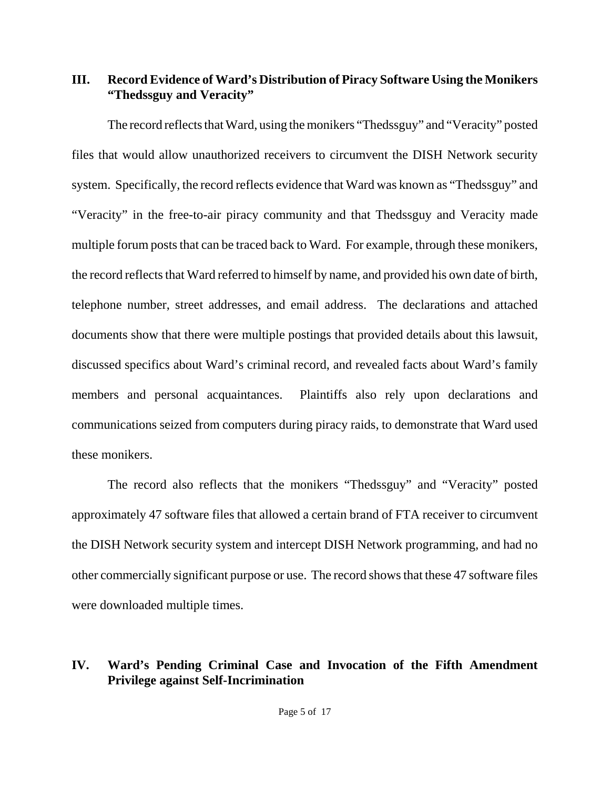# **III. Record Evidence of Ward's Distribution of Piracy Software Using the Monikers "Thedssguy and Veracity"**

The record reflects that Ward, using the monikers "Thedssguy" and "Veracity" posted files that would allow unauthorized receivers to circumvent the DISH Network security system. Specifically, the record reflects evidence that Ward was known as "Thedssguy" and "Veracity" in the free-to-air piracy community and that Thedssguy and Veracity made multiple forum posts that can be traced back to Ward. For example, through these monikers, the record reflects that Ward referred to himself by name, and provided his own date of birth, telephone number, street addresses, and email address. The declarations and attached documents show that there were multiple postings that provided details about this lawsuit, discussed specifics about Ward's criminal record, and revealed facts about Ward's family members and personal acquaintances. Plaintiffs also rely upon declarations and communications seized from computers during piracy raids, to demonstrate that Ward used these monikers.

The record also reflects that the monikers "Thedssguy" and "Veracity" posted approximately 47 software files that allowed a certain brand of FTA receiver to circumvent the DISH Network security system and intercept DISH Network programming, and had no other commercially significant purpose or use. The record shows that these 47 software files were downloaded multiple times.

## **IV. Ward's Pending Criminal Case and Invocation of the Fifth Amendment Privilege against Self-Incrimination**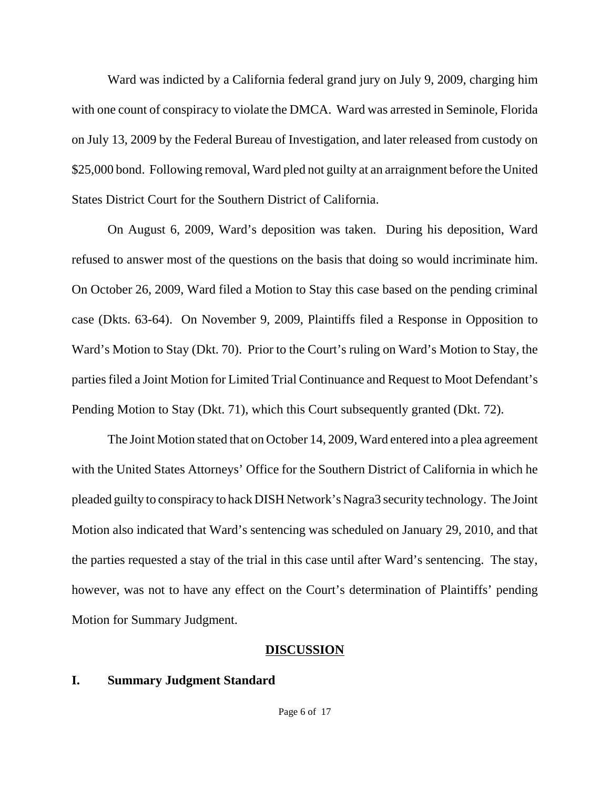Ward was indicted by a California federal grand jury on July 9, 2009, charging him with one count of conspiracy to violate the DMCA. Ward was arrested in Seminole, Florida on July 13, 2009 by the Federal Bureau of Investigation, and later released from custody on \$25,000 bond. Following removal, Ward pled not guilty at an arraignment before the United States District Court for the Southern District of California.

On August 6, 2009, Ward's deposition was taken. During his deposition, Ward refused to answer most of the questions on the basis that doing so would incriminate him. On October 26, 2009, Ward filed a Motion to Stay this case based on the pending criminal case (Dkts. 63-64). On November 9, 2009, Plaintiffs filed a Response in Opposition to Ward's Motion to Stay (Dkt. 70). Prior to the Court's ruling on Ward's Motion to Stay, the parties filed a Joint Motion for Limited Trial Continuance and Request to Moot Defendant's Pending Motion to Stay (Dkt. 71), which this Court subsequently granted (Dkt. 72).

The Joint Motion stated that on October 14, 2009, Ward entered into a plea agreement with the United States Attorneys' Office for the Southern District of California in which he pleaded guilty to conspiracy to hack DISH Network's Nagra3 security technology. The Joint Motion also indicated that Ward's sentencing was scheduled on January 29, 2010, and that the parties requested a stay of the trial in this case until after Ward's sentencing. The stay, however, was not to have any effect on the Court's determination of Plaintiffs' pending Motion for Summary Judgment.

#### **DISCUSSION**

### **I. Summary Judgment Standard**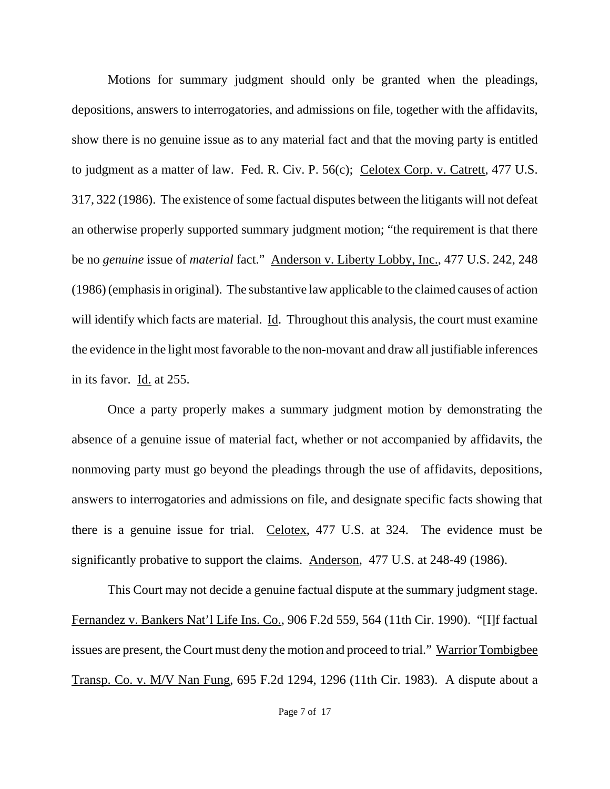Motions for summary judgment should only be granted when the pleadings, depositions, answers to interrogatories, and admissions on file, together with the affidavits, show there is no genuine issue as to any material fact and that the moving party is entitled to judgment as a matter of law. Fed. R. Civ. P. 56(c); Celotex Corp. v. Catrett, 477 U.S. 317, 322 (1986). The existence of some factual disputes between the litigants will not defeat an otherwise properly supported summary judgment motion; "the requirement is that there be no *genuine* issue of *material* fact." Anderson v. Liberty Lobby, Inc., 477 U.S. 242, 248 (1986) (emphasis in original). The substantive law applicable to the claimed causes of action will identify which facts are material. Id. Throughout this analysis, the court must examine the evidence in the light most favorable to the non-movant and draw all justifiable inferences in its favor. Id. at 255.

Once a party properly makes a summary judgment motion by demonstrating the absence of a genuine issue of material fact, whether or not accompanied by affidavits, the nonmoving party must go beyond the pleadings through the use of affidavits, depositions, answers to interrogatories and admissions on file, and designate specific facts showing that there is a genuine issue for trial. Celotex, 477 U.S. at 324. The evidence must be significantly probative to support the claims. Anderson, 477 U.S. at 248-49 (1986).

This Court may not decide a genuine factual dispute at the summary judgment stage. Fernandez v. Bankers Nat'l Life Ins. Co., 906 F.2d 559, 564 (11th Cir. 1990). "[I]f factual issues are present, the Court must deny the motion and proceed to trial." Warrior Tombigbee Transp. Co. v. M/V Nan Fung, 695 F.2d 1294, 1296 (11th Cir. 1983). A dispute about a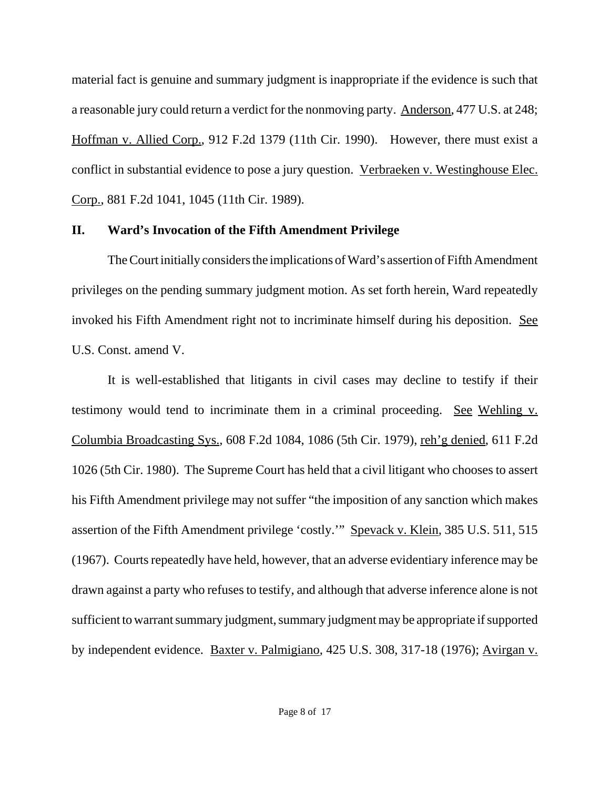material fact is genuine and summary judgment is inappropriate if the evidence is such that a reasonable jury could return a verdict for the nonmoving party. Anderson, 477 U.S. at 248; Hoffman v. Allied Corp., 912 F.2d 1379 (11th Cir. 1990). However, there must exist a conflict in substantial evidence to pose a jury question. Verbraeken v. Westinghouse Elec. Corp., 881 F.2d 1041, 1045 (11th Cir. 1989).

## **II. Ward's Invocation of the Fifth Amendment Privilege**

The Court initially considers the implications of Ward's assertion of Fifth Amendment privileges on the pending summary judgment motion. As set forth herein, Ward repeatedly invoked his Fifth Amendment right not to incriminate himself during his deposition. See U.S. Const. amend V.

It is well-established that litigants in civil cases may decline to testify if their testimony would tend to incriminate them in a criminal proceeding. See Wehling v. Columbia Broadcasting Sys.*,* 608 F.2d 1084, 1086 (5th Cir. 1979), reh'g denied*,* 611 F.2d 1026 (5th Cir. 1980). The Supreme Court has held that a civil litigant who chooses to assert his Fifth Amendment privilege may not suffer "the imposition of any sanction which makes assertion of the Fifth Amendment privilege 'costly.'" Spevack v. Klein*,* 385 U.S. 511, 515 (1967). Courts repeatedly have held, however, that an adverse evidentiary inference may be drawn against a party who refuses to testify, and although that adverse inference alone is not sufficient to warrant summary judgment, summary judgment may be appropriate if supported by independent evidence. Baxter v. Palmigiano*,* 425 U.S. 308, 317-18 (1976); Avirgan v.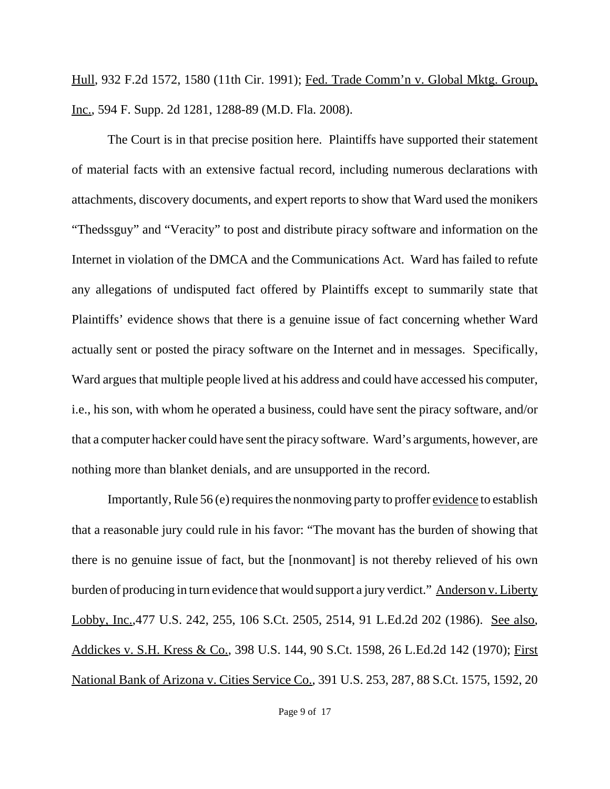Hull*,* 932 F.2d 1572, 1580 (11th Cir. 1991); Fed. Trade Comm'n v. Global Mktg. Group, Inc., 594 F. Supp. 2d 1281, 1288-89 (M.D. Fla. 2008).

The Court is in that precise position here. Plaintiffs have supported their statement of material facts with an extensive factual record, including numerous declarations with attachments, discovery documents, and expert reports to show that Ward used the monikers "Thedssguy" and "Veracity" to post and distribute piracy software and information on the Internet in violation of the DMCA and the Communications Act. Ward has failed to refute any allegations of undisputed fact offered by Plaintiffs except to summarily state that Plaintiffs' evidence shows that there is a genuine issue of fact concerning whether Ward actually sent or posted the piracy software on the Internet and in messages. Specifically, Ward argues that multiple people lived at his address and could have accessed his computer, i.e., his son, with whom he operated a business, could have sent the piracy software, and/or that a computer hacker could have sent the piracy software. Ward's arguments, however, are nothing more than blanket denials, and are unsupported in the record.

Importantly, Rule 56 (e) requires the nonmoving party to proffer evidence to establish that a reasonable jury could rule in his favor: "The movant has the burden of showing that there is no genuine issue of fact, but the [nonmovant] is not thereby relieved of his own burden of producing in turn evidence that would support a jury verdict." Anderson v. Liberty Lobby, Inc.,477 U.S. 242, 255, 106 S.Ct. 2505, 2514, 91 L.Ed.2d 202 (1986). See also*,* Addickes v. S.H. Kress & Co.*,* 398 U.S. 144, 90 S.Ct. 1598, 26 L.Ed.2d 142 (1970); First National Bank of Arizona v. Cities Service Co.*,* 391 U.S. 253, 287, 88 S.Ct. 1575, 1592, 20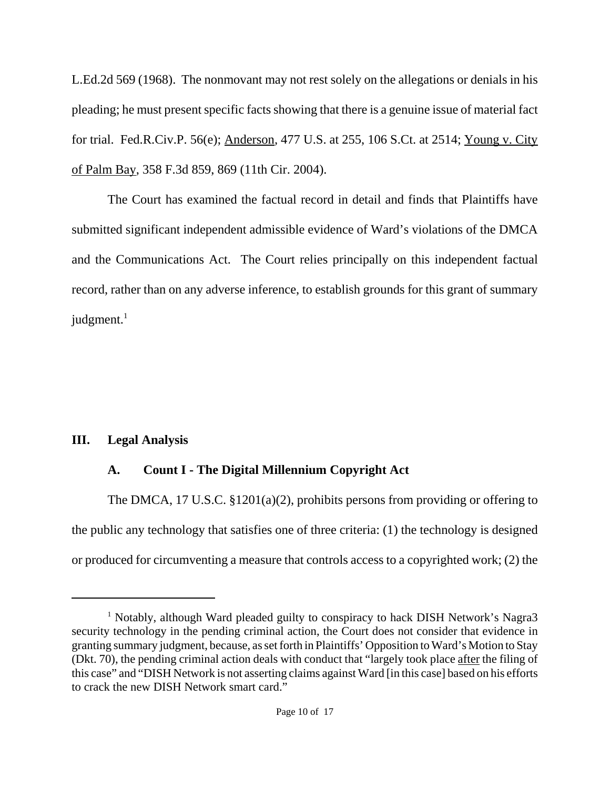L.Ed.2d 569 (1968). The nonmovant may not rest solely on the allegations or denials in his pleading; he must present specific facts showing that there is a genuine issue of material fact for trial. Fed.R.Civ.P. 56(e); Anderson*,* 477 U.S. at 255, 106 S.Ct. at 2514; Young v. City of Palm Bay, 358 F.3d 859, 869 (11th Cir. 2004).

The Court has examined the factual record in detail and finds that Plaintiffs have submitted significant independent admissible evidence of Ward's violations of the DMCA and the Communications Act. The Court relies principally on this independent factual record, rather than on any adverse inference, to establish grounds for this grant of summary judgment. $1$ 

# **III. Legal Analysis**

# **A. Count I - The Digital Millennium Copyright Act**

The DMCA, 17 U.S.C. §1201(a)(2), prohibits persons from providing or offering to the public any technology that satisfies one of three criteria: (1) the technology is designed or produced for circumventing a measure that controls access to a copyrighted work; (2) the

<sup>&</sup>lt;sup>1</sup> Notably, although Ward pleaded guilty to conspiracy to hack DISH Network's Nagra3 security technology in the pending criminal action, the Court does not consider that evidence in granting summary judgment, because, as set forth in Plaintiffs' Opposition to Ward's Motion to Stay (Dkt. 70), the pending criminal action deals with conduct that "largely took place after the filing of this case" and "DISH Network is not asserting claims against Ward [in this case] based on his efforts to crack the new DISH Network smart card."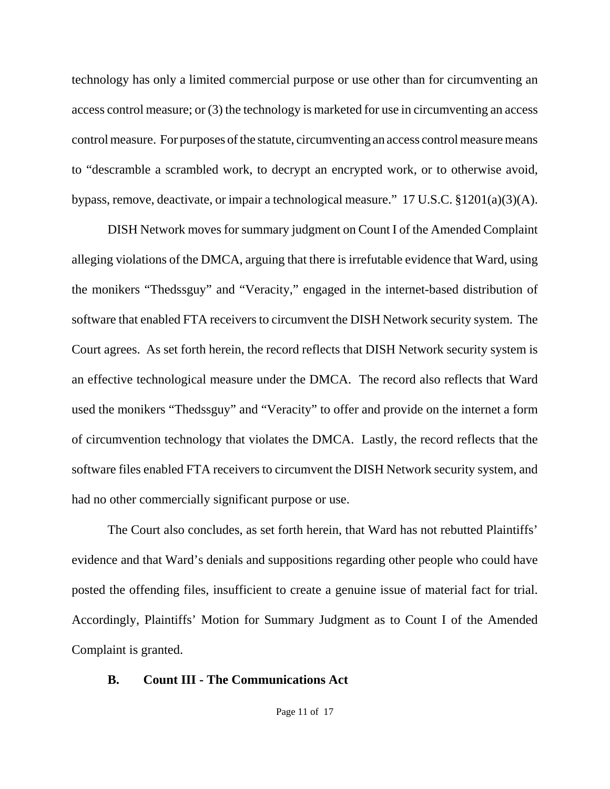technology has only a limited commercial purpose or use other than for circumventing an access control measure; or (3) the technology is marketed for use in circumventing an access control measure. For purposes of the statute, circumventing an access control measure means to "descramble a scrambled work, to decrypt an encrypted work, or to otherwise avoid, bypass, remove, deactivate, or impair a technological measure." 17 U.S.C. §1201(a)(3)(A).

DISH Network moves for summary judgment on Count I of the Amended Complaint alleging violations of the DMCA, arguing that there is irrefutable evidence that Ward, using the monikers "Thedssguy" and "Veracity," engaged in the internet-based distribution of software that enabled FTA receivers to circumvent the DISH Network security system. The Court agrees. As set forth herein, the record reflects that DISH Network security system is an effective technological measure under the DMCA. The record also reflects that Ward used the monikers "Thedssguy" and "Veracity" to offer and provide on the internet a form of circumvention technology that violates the DMCA. Lastly, the record reflects that the software files enabled FTA receivers to circumvent the DISH Network security system, and had no other commercially significant purpose or use.

The Court also concludes, as set forth herein, that Ward has not rebutted Plaintiffs' evidence and that Ward's denials and suppositions regarding other people who could have posted the offending files, insufficient to create a genuine issue of material fact for trial. Accordingly, Plaintiffs' Motion for Summary Judgment as to Count I of the Amended Complaint is granted.

## **B. Count III - The Communications Act**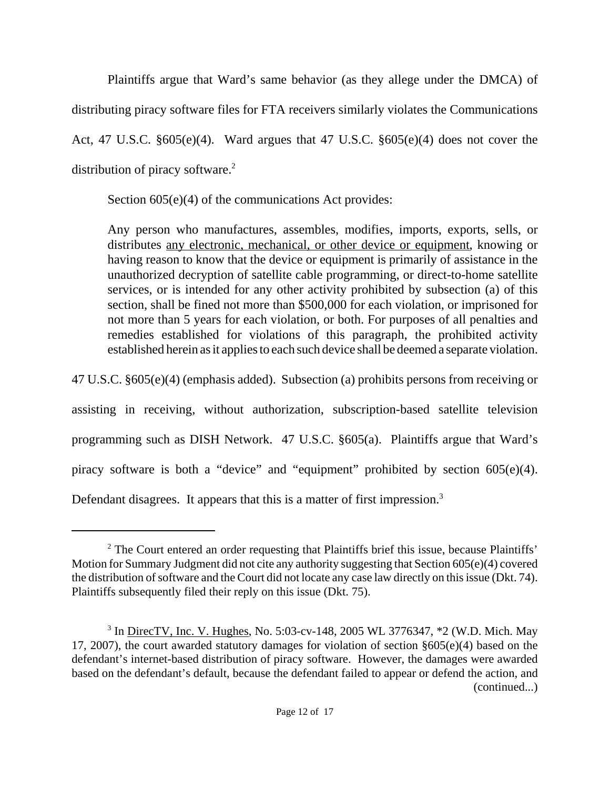Plaintiffs argue that Ward's same behavior (as they allege under the DMCA) of distributing piracy software files for FTA receivers similarly violates the Communications Act, 47 U.S.C. §605(e)(4). Ward argues that 47 U.S.C. §605(e)(4) does not cover the distribution of piracy software.<sup>2</sup>

Section  $605(e)(4)$  of the communications Act provides:

Any person who manufactures, assembles, modifies, imports, exports, sells, or distributes any electronic, mechanical, or other device or equipment, knowing or having reason to know that the device or equipment is primarily of assistance in the unauthorized decryption of satellite cable programming, or direct-to-home satellite services, or is intended for any other activity prohibited by subsection (a) of this section, shall be fined not more than \$500,000 for each violation, or imprisoned for not more than 5 years for each violation, or both. For purposes of all penalties and remedies established for violations of this paragraph, the prohibited activity established herein as it applies to each such device shall be deemed a separate violation.

47 U.S.C. §605(e)(4) (emphasis added). Subsection (a) prohibits persons from receiving or

assisting in receiving, without authorization, subscription-based satellite television programming such as DISH Network. 47 U.S.C. §605(a). Plaintiffs argue that Ward's piracy software is both a "device" and "equipment" prohibited by section 605(e)(4). Defendant disagrees. It appears that this is a matter of first impression.<sup>3</sup>

<sup>&</sup>lt;sup>2</sup> The Court entered an order requesting that Plaintiffs brief this issue, because Plaintiffs' Motion for Summary Judgment did not cite any authority suggesting that Section 605(e)(4) covered the distribution of software and the Court did not locate any case law directly on this issue (Dkt. 74). Plaintiffs subsequently filed their reply on this issue (Dkt. 75).

<sup>&</sup>lt;sup>3</sup> In <u>DirecTV, Inc. V. Hughes</u>, No. 5:03-cv-148, 2005 WL 3776347, \*2 (W.D. Mich. May 17, 2007), the court awarded statutory damages for violation of section §605(e)(4) based on the defendant's internet-based distribution of piracy software. However, the damages were awarded based on the defendant's default, because the defendant failed to appear or defend the action, and (continued...)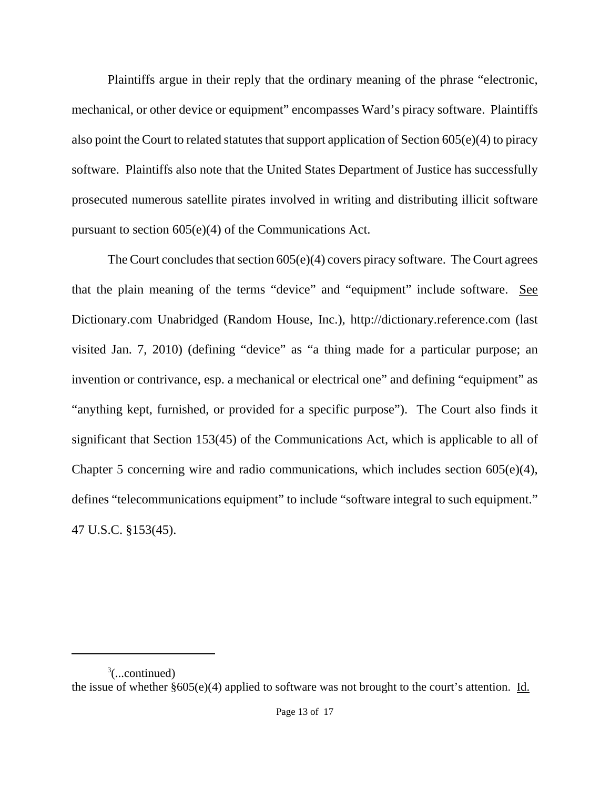Plaintiffs argue in their reply that the ordinary meaning of the phrase "electronic, mechanical, or other device or equipment" encompasses Ward's piracy software. Plaintiffs also point the Court to related statutes that support application of Section 605(e)(4) to piracy software. Plaintiffs also note that the United States Department of Justice has successfully prosecuted numerous satellite pirates involved in writing and distributing illicit software pursuant to section 605(e)(4) of the Communications Act.

The Court concludes that section 605(e)(4) covers piracy software. The Court agrees that the plain meaning of the terms "device" and "equipment" include software. See Dictionary.com Unabridged (Random House, Inc.), http://dictionary.reference.com (last visited Jan. 7, 2010) (defining "device" as "a thing made for a particular purpose; an invention or contrivance, esp. a mechanical or electrical one" and defining "equipment" as "anything kept, furnished, or provided for a specific purpose"). The Court also finds it significant that Section 153(45) of the Communications Act, which is applicable to all of Chapter 5 concerning wire and radio communications, which includes section 605(e)(4), defines "telecommunications equipment" to include "software integral to such equipment." 47 U.S.C. §153(45).

 $\alpha^3$ (...continued) the issue of whether §605(e)(4) applied to software was not brought to the court's attention. Id.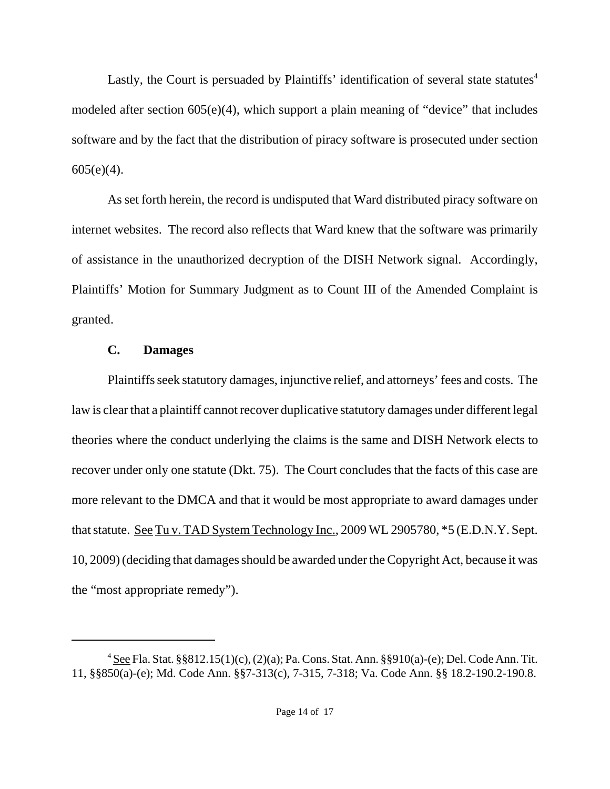Lastly, the Court is persuaded by Plaintiffs' identification of several state statutes $4$ modeled after section 605(e)(4), which support a plain meaning of "device" that includes software and by the fact that the distribution of piracy software is prosecuted under section  $605(e)(4)$ .

As set forth herein, the record is undisputed that Ward distributed piracy software on internet websites. The record also reflects that Ward knew that the software was primarily of assistance in the unauthorized decryption of the DISH Network signal. Accordingly, Plaintiffs' Motion for Summary Judgment as to Count III of the Amended Complaint is granted.

## **C. Damages**

Plaintiffs seek statutory damages, injunctive relief, and attorneys' fees and costs. The law is clear that a plaintiff cannot recover duplicative statutory damages under different legal theories where the conduct underlying the claims is the same and DISH Network elects to recover under only one statute (Dkt. 75). The Court concludes that the facts of this case are more relevant to the DMCA and that it would be most appropriate to award damages under that statute. See Tu v. TAD System Technology Inc., 2009 WL 2905780, \*5 (E.D.N.Y. Sept. 10, 2009) (deciding that damages should be awarded under the Copyright Act, because it was the "most appropriate remedy").

<sup>&</sup>lt;sup>4</sup> See Fla. Stat. §§812.15(1)(c), (2)(a); Pa. Cons. Stat. Ann. §§910(a)-(e); Del. Code Ann. Tit. 11, §§850(a)-(e); Md. Code Ann. §§7-313(c), 7-315, 7-318; Va. Code Ann. §§ 18.2-190.2-190.8.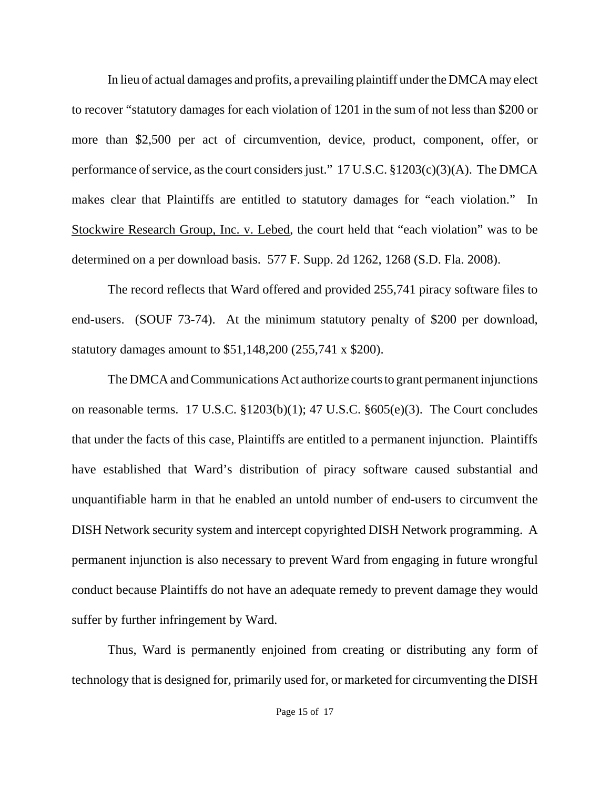In lieu of actual damages and profits, a prevailing plaintiff under the DMCA may elect to recover "statutory damages for each violation of 1201 in the sum of not less than \$200 or more than \$2,500 per act of circumvention, device, product, component, offer, or performance of service, as the court considers just." 17 U.S.C. §1203(c)(3)(A). The DMCA makes clear that Plaintiffs are entitled to statutory damages for "each violation." In Stockwire Research Group, Inc. v. Lebed, the court held that "each violation" was to be determined on a per download basis. 577 F. Supp. 2d 1262, 1268 (S.D. Fla. 2008).

The record reflects that Ward offered and provided 255,741 piracy software files to end-users. (SOUF 73-74). At the minimum statutory penalty of \$200 per download, statutory damages amount to \$51,148,200 (255,741 x \$200).

The DMCA and Communications Act authorize courts to grant permanent injunctions on reasonable terms. 17 U.S.C. §1203(b)(1); 47 U.S.C. §605(e)(3). The Court concludes that under the facts of this case, Plaintiffs are entitled to a permanent injunction. Plaintiffs have established that Ward's distribution of piracy software caused substantial and unquantifiable harm in that he enabled an untold number of end-users to circumvent the DISH Network security system and intercept copyrighted DISH Network programming. A permanent injunction is also necessary to prevent Ward from engaging in future wrongful conduct because Plaintiffs do not have an adequate remedy to prevent damage they would suffer by further infringement by Ward.

Thus, Ward is permanently enjoined from creating or distributing any form of technology that is designed for, primarily used for, or marketed for circumventing the DISH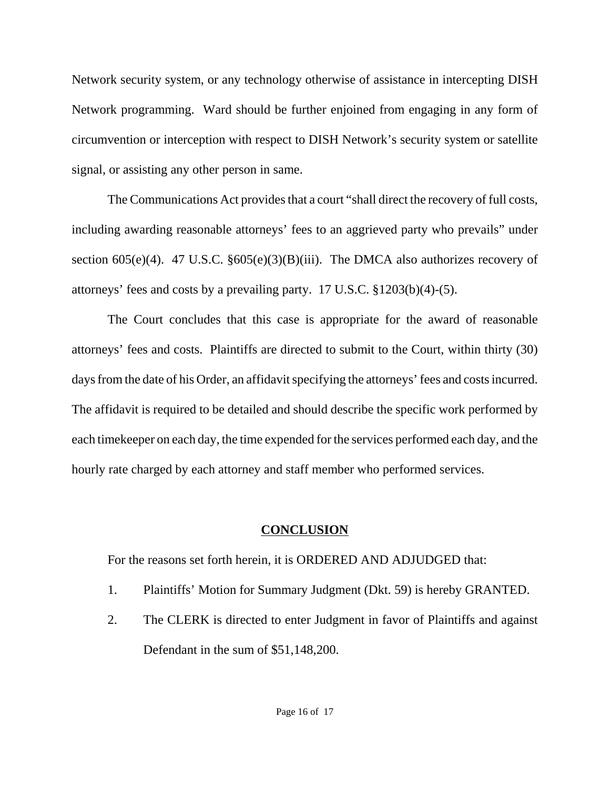Network security system, or any technology otherwise of assistance in intercepting DISH Network programming. Ward should be further enjoined from engaging in any form of circumvention or interception with respect to DISH Network's security system or satellite signal, or assisting any other person in same.

The Communications Act provides that a court "shall direct the recovery of full costs, including awarding reasonable attorneys' fees to an aggrieved party who prevails" under section  $605(e)(4)$ . 47 U.S.C.  $§605(e)(3)(B)(iii)$ . The DMCA also authorizes recovery of attorneys' fees and costs by a prevailing party. 17 U.S.C. §1203(b)(4)-(5).

The Court concludes that this case is appropriate for the award of reasonable attorneys' fees and costs. Plaintiffs are directed to submit to the Court, within thirty (30) days from the date of his Order, an affidavit specifying the attorneys' fees and costs incurred. The affidavit is required to be detailed and should describe the specific work performed by each timekeeper on each day, the time expended for the services performed each day, and the hourly rate charged by each attorney and staff member who performed services.

## **CONCLUSION**

For the reasons set forth herein, it is ORDERED AND ADJUDGED that:

- 1. Plaintiffs' Motion for Summary Judgment (Dkt. 59) is hereby GRANTED.
- 2. The CLERK is directed to enter Judgment in favor of Plaintiffs and against Defendant in the sum of \$51,148,200.